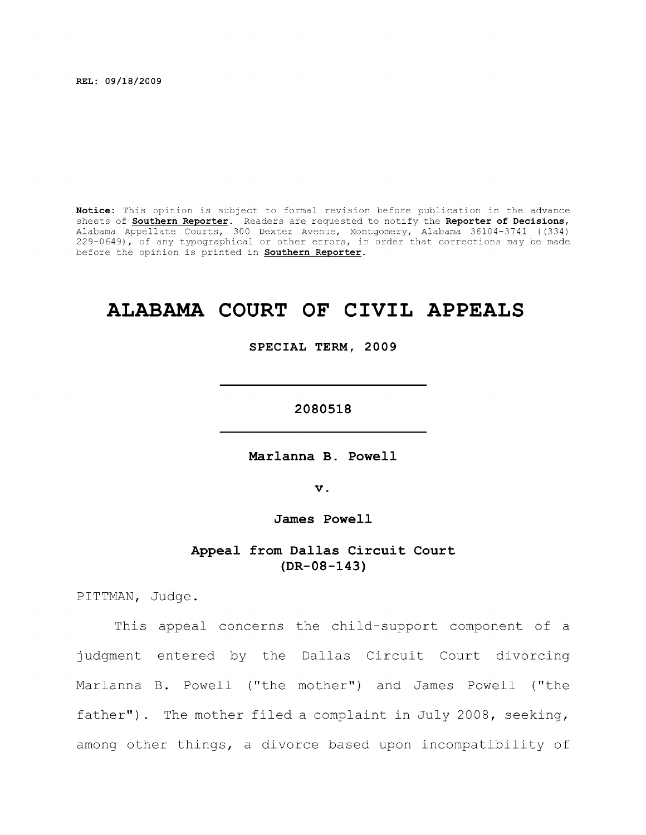**REL: 09/18/2009** 

**Notice:** This opinion is subject to formal revision before publication in the advance sheets of **Southern Reporter**. Readers are requested to notify the **Reporter of Decisions,**  Alabama Appellate Courts, 300 Dexter Avenue, Montgomery, Alabama 36104-3741 ((334) 229-0649), of any typographical or other errors, in order that corrections may be made before the opinion is printed in **Southern Reporter.** 

# **ALABAMA COURT OF CIVIL APPEALS**

**SPECIAL TERM, 2009** 

**2080518** 

**Marlanna B. Powell** 

**V.** 

James Powell

**Appeal from Dallas Circuit Court (DR-08-143)** 

PITTMAN, Judge.

This appeal concerns the child-support component of a judgment entered by the Dallas Circuit Court divorcing Marlanna B. Powell ("the mother") and James Powell ("the father"). The mother filed a complaint in July 2008, seeking, among other things, a divorce based upon incompatibility of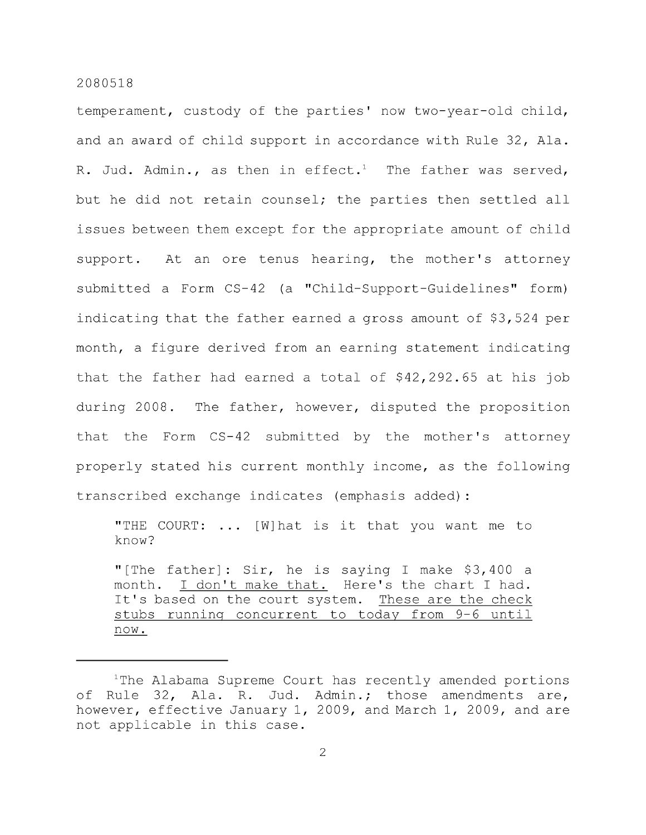now.

temperament, custody of the parties' now two-year-old child, and an award of child support in accordance with Rule 32, Ala. R. Jud. Admin., as then in effect.<sup>1</sup> The father was served, but he did not retain counsel; the parties then settled all issues between them except for the appropriate amount of child support. At an ore tenus hearing, the mother's attorney submitted a Form CS-42 (a "Child-Support-Guidelines" form) indicating that the father earned a gross amount of \$3,524 per month, a figure derived from an earning statement indicating that the father had earned a total of \$42,292.65 at his job during 2008. The father, however, disputed the proposition that the Form CS-42 submitted by the mother's attorney properly stated his current monthly income, as the following transcribed exchange indicates (emphasis added):

"THE COURT: ... [W] hat is it that you want me to know? "[The father]: Sir, he is saying I make  $$3,400$  a month. I don't make that. Here's the chart I had. It's based on the court system. These are the check stubs running concurrent to today from 9-6 until

<sup>&</sup>lt;sup>1</sup>The Alabama Supreme Court has recently amended portions of Rule 32, Ala. R. Jud. Admin.; those amendments are, however, effective January 1, 2009, and March 1, 2009, and are not applicable in this case.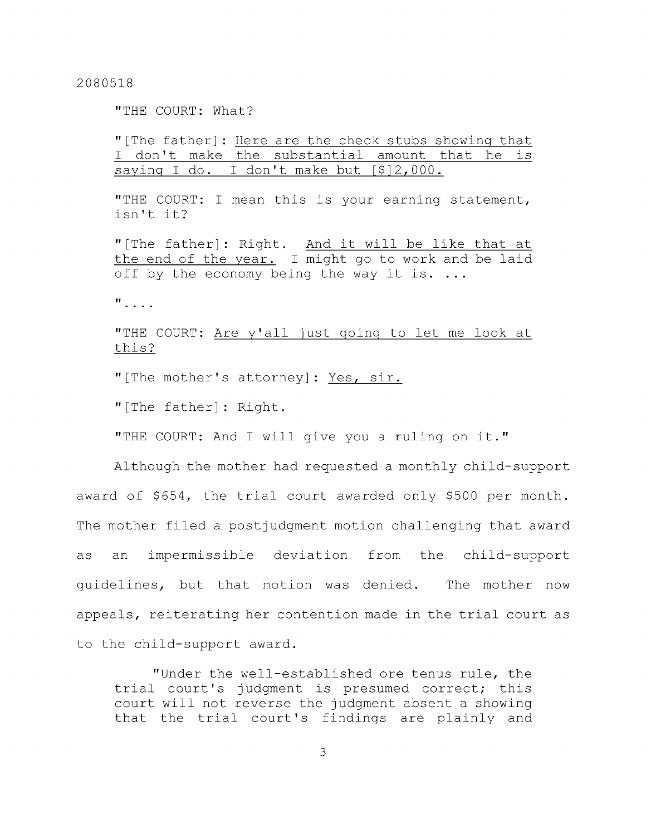"THE COURT: What?

"[The father] : Here are the check stubs showing that I don't make the substantial amount that he is saying I do. I don't make but [\$12,000.

"THE COURT: I mean this is your earning statement, isn't it?

"[The father]: Right. And it will be like that at the end of the year. I might go to work and be laid off by the economy being the way it is. ...

 $\mathbf{u}$ , ...

"THE COURT: Are y'all just going to let me look at this?

"[The mother's attorney]: Yes, sir.

"[The father]: Right.

"THE COURT: And I will give you a ruling on it."

Although the mother had requested a monthly child-support award of \$654, the trial court awarded only \$500 per month. The mother filed a postjudgment motion challenging that award as an impermissible deviation from the child-support guidelines, but that motion was denied. The mother now appeals, reiterating her contention made in the trial court as to the child-support award.

"Under the well-established ore tenus rule, the trial court's judgment is presumed correct; this court will not reverse the judgment absent a showing that the trial court's findings are plainly and

3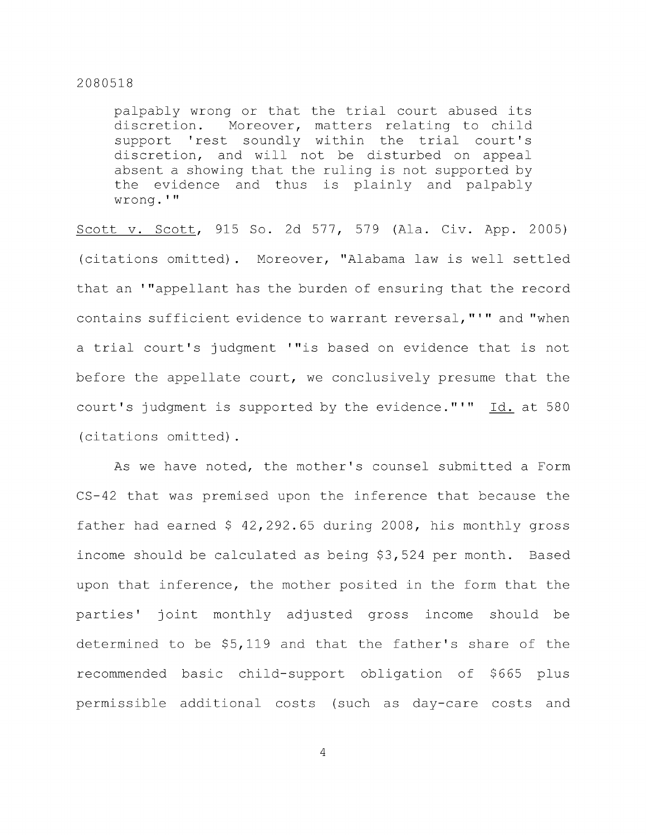palpably wrong or that the trial court abused its discretion. Moreover, matters relating to child support 'rest soundly within the trial court's discretion, and will not be disturbed on appeal absent a showing that the ruling is not supported by the evidence and thus is plainly and palpably wrong.'"

Scott V. Scott, 915 So. 2d 577, 579 (Ala. Civ. App. 2005) (citations omitted). Moreover, "Alabama law is well settled that an '"appellant has the burden of ensuring that the record contains sufficient evidence to warrant reversal,"'" and "when a trial court's judgment '"is based on evidence that is not before the appellate court, we conclusively presume that the court's judgment is supported by the evidence."'"  $Id.$  at 580 (citations omitted).

As we have noted, the mother's counsel submitted a Form CS-42 that was premised upon the inference that because the father had earned \$ 42,292.65 during 2008, his monthly gross income should be calculated as being \$3,524 per month. Based upon that inference, the mother posited in the form that the parties' joint monthly adjusted gross income should be determined to be \$5,119 and that the father's share of the recommended basic child-support obligation of \$665 plus permissible additional costs (such as day-care costs and

 $\overline{4}$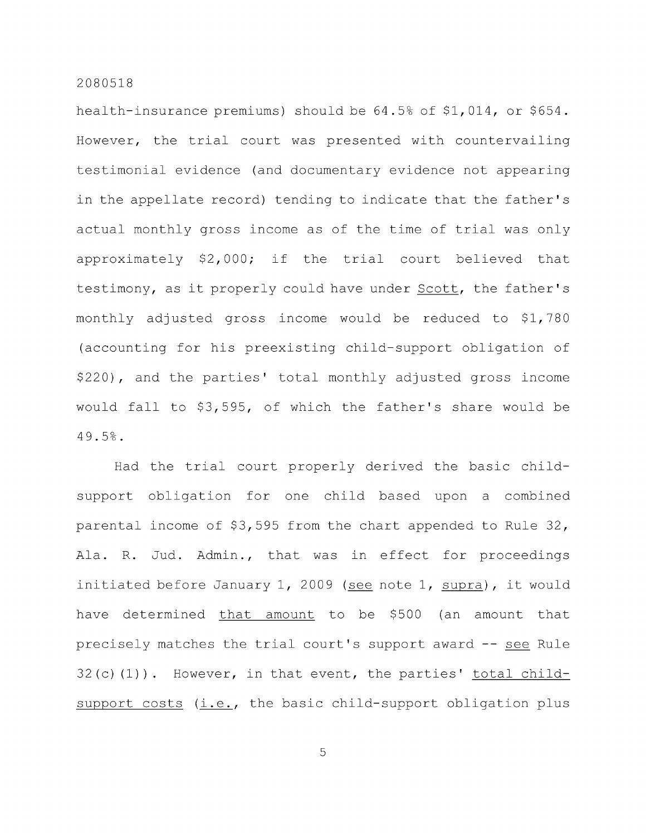health-insurance premiums) should be 64.5% of \$1,014, or \$654. However, the trial court was presented with countervailing testimonial evidence (and documentary evidence not appearing in the appellate record) tending to indicate that the father's actual monthly gross income as of the time of trial was only approximately \$2,000; if the trial court believed that testimony, as it properly could have under Scott, the father's monthly adjusted gross income would be reduced to \$1,780 (accounting for his preexisting child-support obligation of \$220), and the parties' total monthly adjusted gross income would fall to \$3,595, of which the father's share would be 49.5%.

Had the trial court properly derived the basic childsupport obligation for one child based upon a combined parental income of \$3,595 from the chart appended to Rule 32, Ala. R. Jud. Admin., that was in effect for proceedings initiated before January 1, 2009 (see note 1, supra), it would have determined that amount to be \$500 (an amount that precisely matches the trial court's support award -- see Rule  $32(c)$  (1)). However, in that event, the parties' total childsupport costs (i.e., the basic child-support obligation plus

5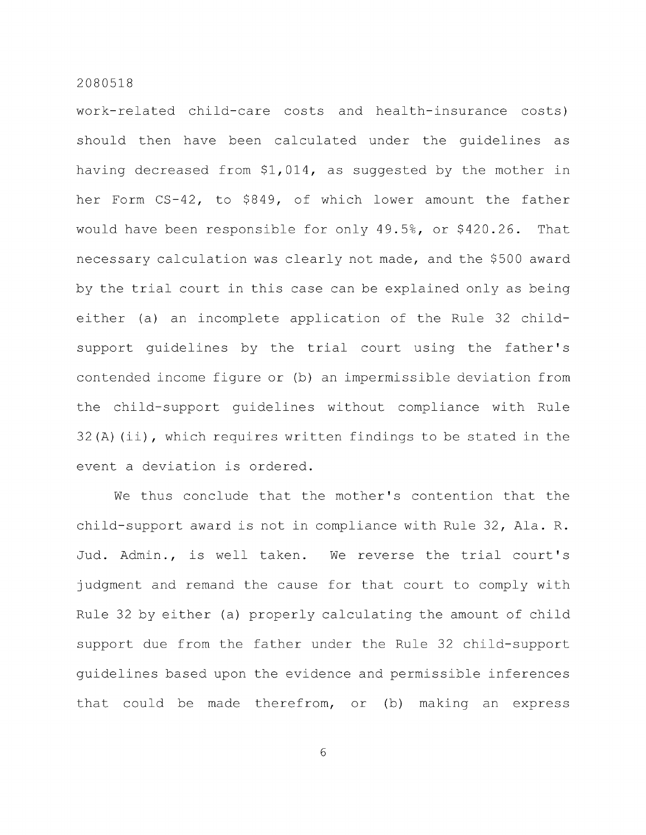work-related child-care costs and health-insurance costs) should then have been calculated under the guidelines as having decreased from \$1,014, as suggested by the mother in her Form CS-42, to \$849, of which lower amount the father would have been responsible for only 49.5%, or \$420.26. That necessary calculation was clearly not made, and the \$500 award by the trial court in this case can be explained only as being either (a) an incomplete application of the Rule 32 childsupport guidelines by the trial court using the father's contended income figure or (b) an impermissible deviation from the child-support guidelines without compliance with Rule 32(A) (ii), which requires written findings to be stated in the event a deviation is ordered.

We thus conclude that the mother's contention that the child-support award is not in compliance with Rule 32, Ala. R. Jud. Admin., is well taken. We reverse the trial court's judgment and remand the cause for that court to comply with Rule 32 by either (a) properly calculating the amount of child support due from the father under the Rule 32 child-support guidelines based upon the evidence and permissible inferences that could be made therefrom, or (b) making an express

6